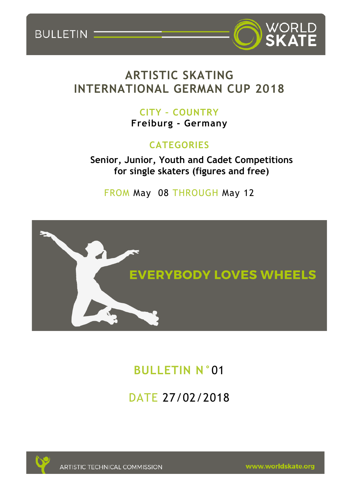BULLETIN



# **ARTISTIC SKATING INTERNATIONAL GERMAN CUP 2018**

## **CITY – COUNTRY Freiburg - Germany**

# **CATEGORIES**

**Senior, Junior, Youth and Cadet Competitions for single skaters (figures and free)**

FROM May 08 THROUGH May 12



# **BULLETIN N°**01

DATE 27/02/2018



**ARTISTIC TECHNICAL COMMISSION** 

www.worldskate.org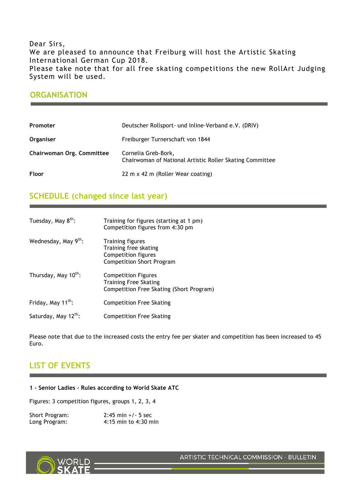### Dear Sirs, We are pleased to announce that Freiburg will host the Artistic Skating International German Cup 2018. Please take note that for all free skating competitions the new RollArt Judging System will be used.

### **ORGANISATION**

| Promoter                  | Deutscher Rollsport- und Inline-Verband e.V. (DRIV)                             |
|---------------------------|---------------------------------------------------------------------------------|
| Organiser                 | Freiburger Turnerschaft von 1844                                                |
| Chairwoman Org. Committee | Cornelia Greb-Bork,<br>Chairwoman of National Artistic Roller Skating Committee |
| Floor                     | 22 m x 42 m (Roller Wear coating)                                               |

### **SCHEDULE (changed since last year)**

| Tuesday, May 8 <sup>th</sup> :   | Training for figures (starting at 1 pm)<br>Competition figures from 4:30 pm                                 |
|----------------------------------|-------------------------------------------------------------------------------------------------------------|
| Wednesday, May 9th:              | <b>Training figures</b><br>Training free skating<br>Competition figures<br><b>Competition Short Program</b> |
| Thursday, May 10 <sup>th</sup> : | <b>Competition Figures</b><br><b>Training Free Skating</b><br>Competition Free Skating (Short Program)      |
| Friday, May 11 <sup>th</sup> :   | <b>Competition Free Skating</b>                                                                             |
| Saturday, May 12th:              | <b>Competition Free Skating</b>                                                                             |

Please note that due to the increased costs the entry fee per skater and competition has been increased to 45 Euro.

### **LIST OF EVENTS**

#### **1 - Senior Ladies – Rules according to World Skate ATC**

Figures: 3 competition figures, groups 1, 2, 3, 4

| Short Program: | $2:45$ min $+/-5$ sec    |
|----------------|--------------------------|
| Long Program:  | $4:15$ min to $4:30$ min |



ARTISTIC TECHNICAL COMMISSION - BULLETIN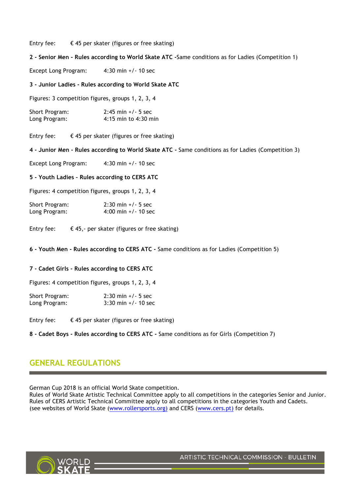Entry fee:  $\epsilon$  45 per skater (figures or free skating)

**2 - Senior Men - Rules according to World Skate ATC -**Same conditions as for Ladies (Competition 1)

Except Long Program: 4:30 min +/- 10 sec

**3 - Junior Ladies - Rules according to World Skate ATC**

Figures: 3 competition figures, groups 1, 2, 3, 4

| Short Program: | $2:45$ min $+/-5$ sec |
|----------------|-----------------------|
| Long Program:  | 4:15 min to 4:30 min  |

Entry fee:  $\epsilon$  45 per skater (figures or free skating)

**4 - Junior Men - Rules according to World Skate ATC -** Same conditions as for Ladies (Competition 3)

Except Long Program: 4:30 min +/- 10 sec

**5 - Youth Ladies – Rules according to CERS ATC**

Figures: 4 competition figures, groups 1, 2, 3, 4

| Short Program: | $2:30 \text{ min} + 5 \text{ sec}$ |
|----------------|------------------------------------|
| Long Program:  | $4:00$ min $+/- 10$ sec            |

Entry fee:  $\epsilon$  45,- per skater (figures or free skating)

**6 - Youth Men - Rules according to CERS ATC -** Same conditions as for Ladies (Competition 5)

#### **7 - Cadet Girls - Rules according to CERS ATC**

Figures: 4 competition figures, groups 1, 2, 3, 4

| Short Program: | $2:30 \text{ min } +/- 5 \text{ sec}$ |
|----------------|---------------------------------------|
| Long Program:  | $3:30 \text{ min} + 1.10 \text{ sec}$ |

Entry fee:  $\epsilon$  45 per skater (figures or free skating)

**8 - Cadet Boys - Rules according to CERS ATC -** Same conditions as for Girls (Competition 7)

### **GENERAL REGULATIONS**

German Cup 2018 is an official World Skate competition.

Rules of World Skate Artistic Technical Committee apply to all competitions in the categories Senior and Junior. Rules of CERS Artistic Technical Committee apply to all competitions in the categories Youth and Cadets. (see websites of World Skate (www.rollersports.org) and CERS (www.cers.pt) for details.

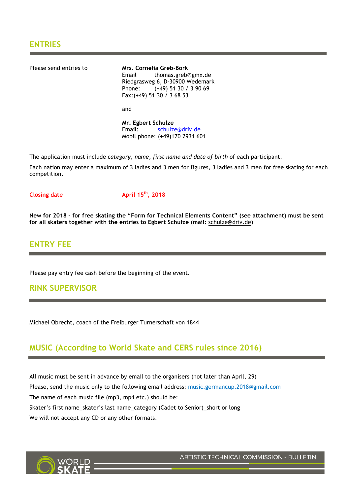Please send entries to **Mrs**. **Cornelia Greb-Bork** Email thomas.greb@gmx.de Riedgrasweg 6, D-30900 Wedemark Phone: (+49) 51 30 / 3 90 69 Fax:(+49) 51 30 / 3 68 53 and

**Mr. Egbert Schulze** Email: schulze@driv.de Mobil phone: (+49)170 2931 601

The application must include *category, name, first name and date of birth* of each participant.

Each nation may enter a maximum of 3 ladies and 3 men for figures, 3 ladies and 3 men for free skating for each competition.

**Closing date April 15th, 2018**

**New for 2018 – for free skating the "Form for Technical Elements Content" (see attachment) must be sent for all skaters together with the entries to Egbert Schulze (mail:** schulze@driv.de**)**

### **ENTRY FEE**

Please pay entry fee cash before the beginning of the event.

### **RINK SUPERVISOR**

Michael Obrecht, coach of the Freiburger Turnerschaft von 1844

### **MUSIC (According to World Skate and CERS rules since 2016)**

All music must be sent in advance by email to the organisers (not later than April, 29) Please, send the music only to the following email address: music.germancup.2018@gmail.com The name of each music file (mp3, mp4 etc.) should be: Skater's first name\_skater's last name\_category (Cadet to Senior)\_short or long We will not accept any CD or any other formats.



ARTISTIC TECHNICAL COMMISSION - BULLETIN